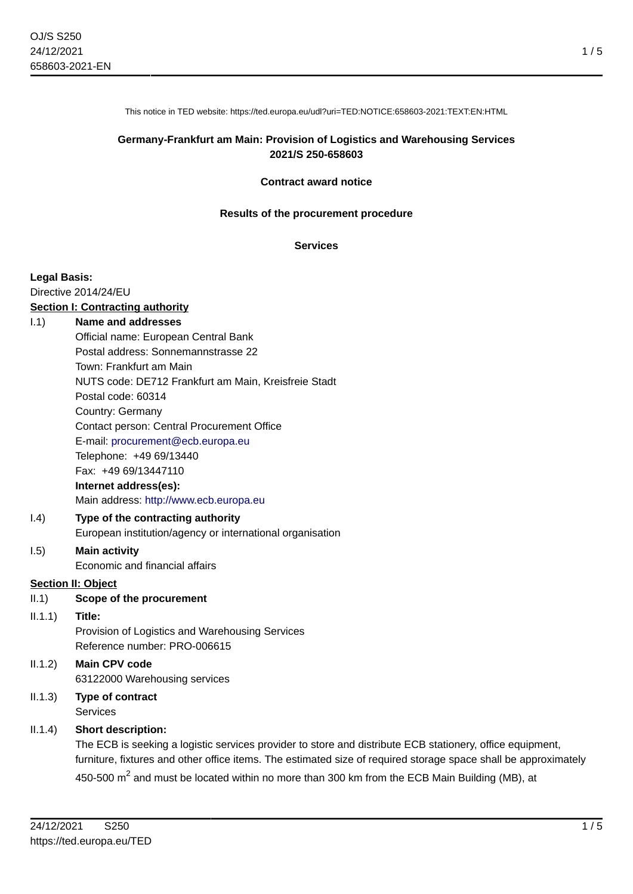This notice in TED website: https://ted.europa.eu/udl?uri=TED:NOTICE:658603-2021:TEXT:EN:HTML

## **Germany-Frankfurt am Main: Provision of Logistics and Warehousing Services 2021/S 250-658603**

#### **Contract award notice**

#### **Results of the procurement procedure**

#### **Services**

#### **Legal Basis:**

Directive 2014/24/EU

#### **Section I: Contracting authority**

#### I.1) **Name and addresses**

Official name: European Central Bank Postal address: Sonnemannstrasse 22 Town: Frankfurt am Main NUTS code: DE712 Frankfurt am Main, Kreisfreie Stadt Postal code: 60314 Country: Germany Contact person: Central Procurement Office E-mail: [procurement@ecb.europa.eu](mailto:procurement@ecb.europa.eu) Telephone: +49 69/13440 Fax: +49 69/13447110 **Internet address(es):** Main address:<http://www.ecb.europa.eu>

### I.4) **Type of the contracting authority** European institution/agency or international organisation

# I.5) **Main activity**

Economic and financial affairs

### **Section II: Object**

II.1) **Scope of the procurement**

#### II.1.1) **Title:**

Provision of Logistics and Warehousing Services Reference number: PRO-006615

# II.1.2) **Main CPV code** 63122000 Warehousing services

II.1.3) **Type of contract Services** 

### II.1.4) **Short description:**

The ECB is seeking a logistic services provider to store and distribute ECB stationery, office equipment, furniture, fixtures and other office items. The estimated size of required storage space shall be approximately 450-500 m $^2$  and must be located within no more than 300 km from the ECB Main Building (MB), at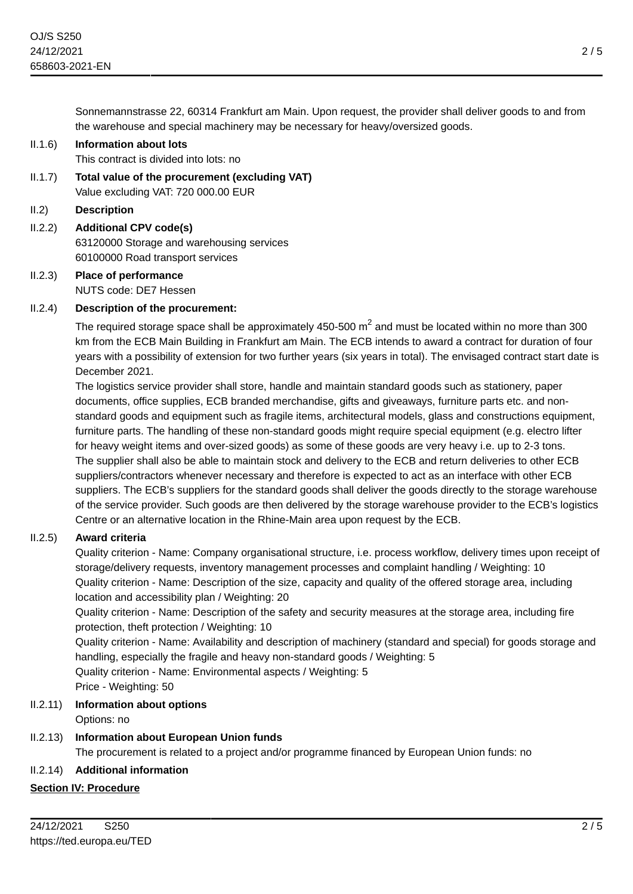Sonnemannstrasse 22, 60314 Frankfurt am Main. Upon request, the provider shall deliver goods to and from the warehouse and special machinery may be necessary for heavy/oversized goods.

### II.1.6) **Information about lots**

This contract is divided into lots: no

II.1.7) **Total value of the procurement (excluding VAT)**

Value excluding VAT: 720 000.00 EUR

II.2) **Description**

# II.2.2) **Additional CPV code(s)**

63120000 Storage and warehousing services 60100000 Road transport services

#### II.2.3) **Place of performance** NUTS code: DE7 Hessen

## II.2.4) **Description of the procurement:**

The required storage space shall be approximately 450-500  $m^2$  and must be located within no more than 300 km from the ECB Main Building in Frankfurt am Main. The ECB intends to award a contract for duration of four years with a possibility of extension for two further years (six years in total). The envisaged contract start date is December 2021.

The logistics service provider shall store, handle and maintain standard goods such as stationery, paper documents, office supplies, ECB branded merchandise, gifts and giveaways, furniture parts etc. and nonstandard goods and equipment such as fragile items, architectural models, glass and constructions equipment, furniture parts. The handling of these non-standard goods might require special equipment (e.g. electro lifter for heavy weight items and over-sized goods) as some of these goods are very heavy i.e. up to 2-3 tons. The supplier shall also be able to maintain stock and delivery to the ECB and return deliveries to other ECB suppliers/contractors whenever necessary and therefore is expected to act as an interface with other ECB suppliers. The ECB's suppliers for the standard goods shall deliver the goods directly to the storage warehouse of the service provider. Such goods are then delivered by the storage warehouse provider to the ECB's logistics Centre or an alternative location in the Rhine-Main area upon request by the ECB.

# II.2.5) **Award criteria**

Quality criterion - Name: Company organisational structure, i.e. process workflow, delivery times upon receipt of storage/delivery requests, inventory management processes and complaint handling / Weighting: 10 Quality criterion - Name: Description of the size, capacity and quality of the offered storage area, including location and accessibility plan / Weighting: 20

Quality criterion - Name: Description of the safety and security measures at the storage area, including fire protection, theft protection / Weighting: 10

Quality criterion - Name: Availability and description of machinery (standard and special) for goods storage and handling, especially the fragile and heavy non-standard goods / Weighting: 5

Quality criterion - Name: Environmental aspects / Weighting: 5

Price - Weighting: 50

# II.2.11) **Information about options**

Options: no

# II.2.13) **Information about European Union funds** The procurement is related to a project and/or programme financed by European Union funds: no

# II.2.14) **Additional information**

# **Section IV: Procedure**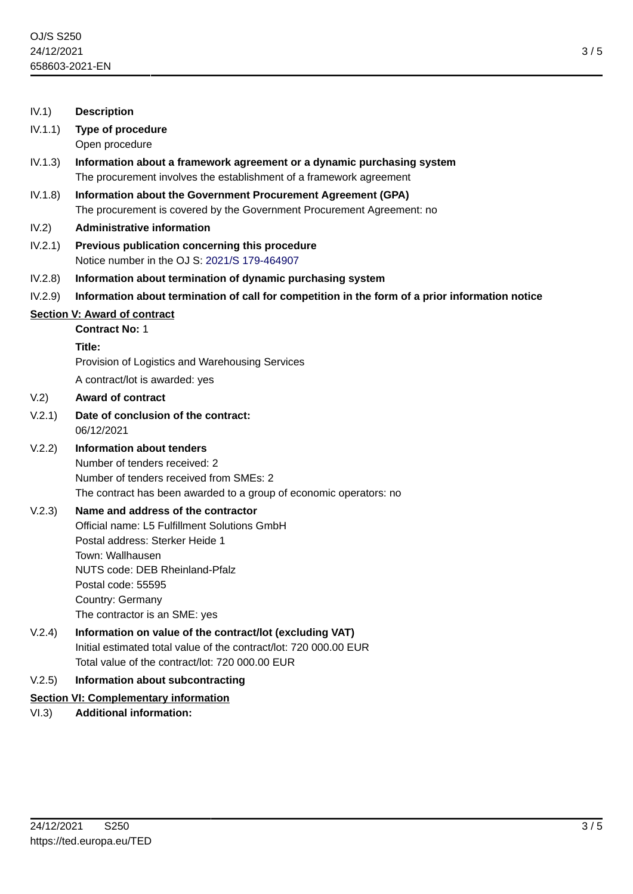#### IV.1) **Description**

### IV.1.1) **Type of procedure** Open procedure

- IV.1.3) **Information about a framework agreement or a dynamic purchasing system** The procurement involves the establishment of a framework agreement
- IV.1.8) **Information about the Government Procurement Agreement (GPA)** The procurement is covered by the Government Procurement Agreement: no

### IV.2) **Administrative information**

- IV.2.1) **Previous publication concerning this procedure** Notice number in the OJ S: [2021/S 179-464907](https://ted.europa.eu/udl?uri=TED:NOTICE:464907-2021:TEXT:EN:HTML)
- IV.2.8) **Information about termination of dynamic purchasing system**
- IV.2.9) **Information about termination of call for competition in the form of a prior information notice**

## **Section V: Award of contract**

### **Contract No:** 1

### **Title:**

Provision of Logistics and Warehousing Services

A contract/lot is awarded: yes

#### V.2) **Award of contract**

V.2.1) **Date of conclusion of the contract:** 06/12/2021

# V.2.2) **Information about tenders** Number of tenders received: 2 Number of tenders received from SMEs: 2 The contract has been awarded to a group of economic operators: no

# V.2.3) **Name and address of the contractor**

Official name: L5 Fulfillment Solutions GmbH Postal address: Sterker Heide 1 Town: Wallhausen NUTS code: DEB Rheinland-Pfalz Postal code: 55595 Country: Germany The contractor is an SME: yes

# V.2.4) **Information on value of the contract/lot (excluding VAT)** Initial estimated total value of the contract/lot: 720 000.00 EUR Total value of the contract/lot: 720 000.00 EUR

### V.2.5) **Information about subcontracting**

### **Section VI: Complementary information**

### VI.3) **Additional information:**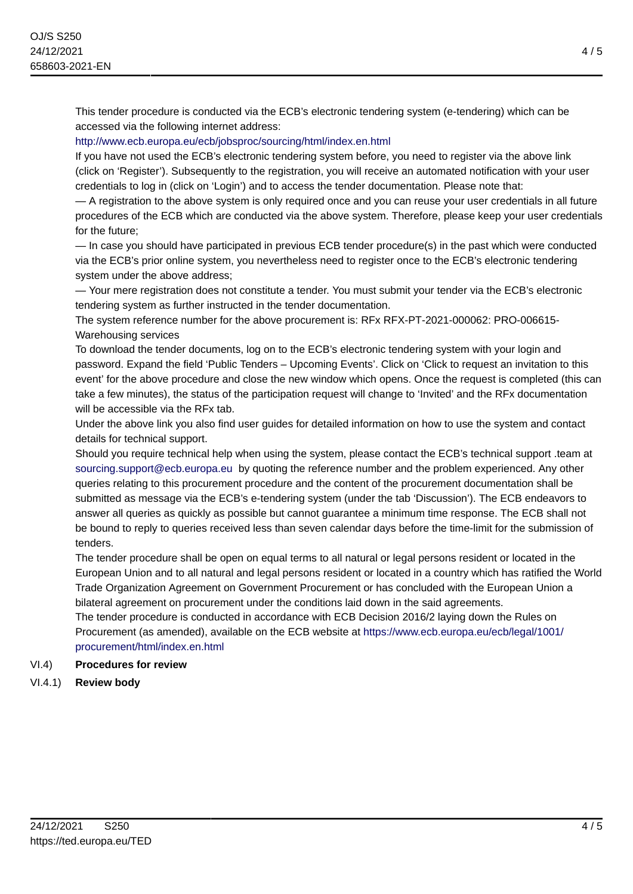This tender procedure is conducted via the ECB's electronic tendering system (e-tendering) which can be accessed via the following internet address:

## <http://www.ecb.europa.eu/ecb/jobsproc/sourcing/html/index.en.html>

If you have not used the ECB's electronic tendering system before, you need to register via the above link (click on 'Register'). Subsequently to the registration, you will receive an automated notification with your user credentials to log in (click on 'Login') and to access the tender documentation. Please note that:

— A registration to the above system is only required once and you can reuse your user credentials in all future procedures of the ECB which are conducted via the above system. Therefore, please keep your user credentials for the future;

— In case you should have participated in previous ECB tender procedure(s) in the past which were conducted via the ECB's prior online system, you nevertheless need to register once to the ECB's electronic tendering system under the above address;

— Your mere registration does not constitute a tender. You must submit your tender via the ECB's electronic tendering system as further instructed in the tender documentation.

The system reference number for the above procurement is: RFx RFX-PT-2021-000062: PRO-006615- Warehousing services

To download the tender documents, log on to the ECB's electronic tendering system with your login and password. Expand the field 'Public Tenders – Upcoming Events'. Click on 'Click to request an invitation to this event' for the above procedure and close the new window which opens. Once the request is completed (this can take a few minutes), the status of the participation request will change to 'Invited' and the RFx documentation will be accessible via the RFx tab.

Under the above link you also find user guides for detailed information on how to use the system and contact details for technical support.

Should you require technical help when using the system, please contact the ECB's technical support .team at [sourcing.support@ecb.europa.eu](mailto:sourcing.support@ecb.europa.eu) by quoting the reference number and the problem experienced. Any other queries relating to this procurement procedure and the content of the procurement documentation shall be submitted as message via the ECB's e-tendering system (under the tab 'Discussion'). The ECB endeavors to answer all queries as quickly as possible but cannot guarantee a minimum time response. The ECB shall not be bound to reply to queries received less than seven calendar days before the time-limit for the submission of tenders.

The tender procedure shall be open on equal terms to all natural or legal persons resident or located in the European Union and to all natural and legal persons resident or located in a country which has ratified the World Trade Organization Agreement on Government Procurement or has concluded with the European Union a bilateral agreement on procurement under the conditions laid down in the said agreements.

The tender procedure is conducted in accordance with ECB Decision 2016/2 laying down the Rules on Procurement (as amended), available on the ECB website at [https://www.ecb.europa.eu/ecb/legal/1001/](https://www.ecb.europa.eu/ecb/legal/1001/procurement/html/index.en.html) [procurement/html/index.en.html](https://www.ecb.europa.eu/ecb/legal/1001/procurement/html/index.en.html)

# VI.4) **Procedures for review**

# VI.4.1) **Review body**